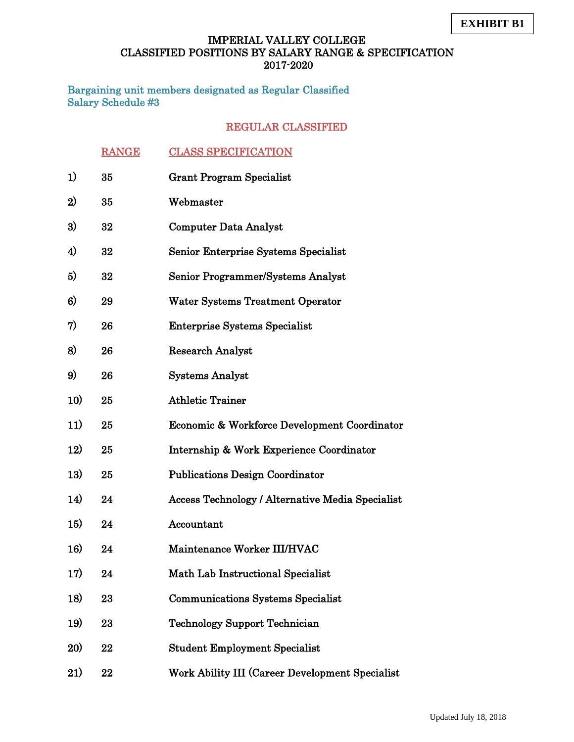Bargaining unit members designated as Regular Classified Salary Schedule #3

|                  | <b>RANGE</b> | <b>CLASS SPECIFICATION</b>                              |
|------------------|--------------|---------------------------------------------------------|
| 1)               | 35           | <b>Grant Program Specialist</b>                         |
| 2)               | 35           | Webmaster                                               |
| 3)               | 32           | <b>Computer Data Analyst</b>                            |
| $\boldsymbol{4}$ | 32           | Senior Enterprise Systems Specialist                    |
| 5)               | 32           | Senior Programmer/Systems Analyst                       |
| 6)               | 29           | <b>Water Systems Treatment Operator</b>                 |
| 7)               | 26           | <b>Enterprise Systems Specialist</b>                    |
| 8)               | 26           | <b>Research Analyst</b>                                 |
| 9)               | 26           | <b>Systems Analyst</b>                                  |
| 10)              | 25           | <b>Athletic Trainer</b>                                 |
| 11)              | 25           | Economic & Workforce Development Coordinator            |
| 12)              | 25           | Internship & Work Experience Coordinator                |
| 13)              | 25           | <b>Publications Design Coordinator</b>                  |
| 14)              | 24           | <b>Access Technology / Alternative Media Specialist</b> |
| <b>15)</b>       | 24           | Accountant                                              |
| 16)              | 24           | Maintenance Worker III/HVAC                             |
| 17)              | 24           | <b>Math Lab Instructional Specialist</b>                |
| 18)              | 23           | <b>Communications Systems Specialist</b>                |
| 19)              | 23           | <b>Technology Support Technician</b>                    |
| <b>20)</b>       | 22           | <b>Student Employment Specialist</b>                    |
| 21)              | 22           | Work Ability III (Career Development Specialist         |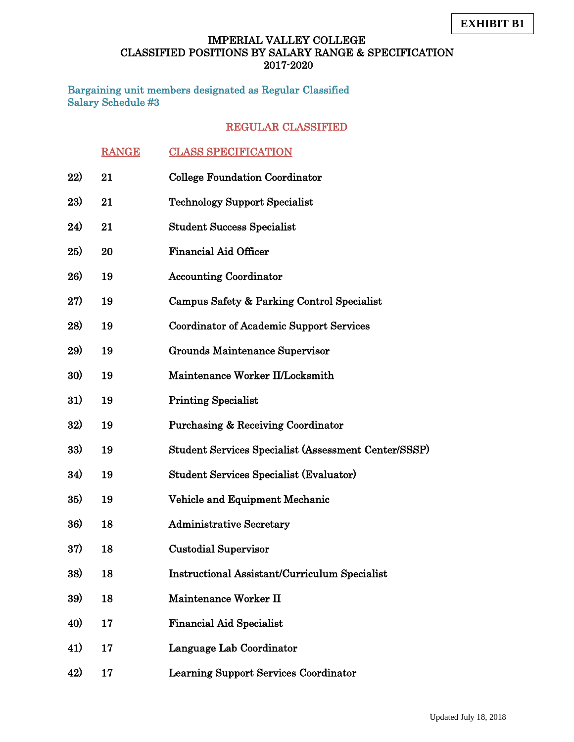Bargaining unit members designated as Regular Classified Salary Schedule #3

|     | <b>RANGE</b> | <b>CLASS SPECIFICATION</b>                           |
|-----|--------------|------------------------------------------------------|
| 22) | 21           | <b>College Foundation Coordinator</b>                |
| 23) | 21           | <b>Technology Support Specialist</b>                 |
| 24) | 21           | <b>Student Success Specialist</b>                    |
| 25) | 20           | <b>Financial Aid Officer</b>                         |
| 26) | 19           | <b>Accounting Coordinator</b>                        |
| 27) | 19           | Campus Safety & Parking Control Specialist           |
| 28) | 19           | <b>Coordinator of Academic Support Services</b>      |
| 29) | 19           | Grounds Maintenance Supervisor                       |
| 30) | 19           | Maintenance Worker II/Locksmith                      |
| 31) | 19           | <b>Printing Specialist</b>                           |
| 32) | 19           | <b>Purchasing &amp; Receiving Coordinator</b>        |
| 33) | 19           | Student Services Specialist (Assessment Center/SSSP) |
| 34) | 19           | <b>Student Services Specialist (Evaluator)</b>       |
| 35) | 19           | Vehicle and Equipment Mechanic                       |
| 36) | 18           | <b>Administrative Secretary</b>                      |
| 37) | 18           | <b>Custodial Supervisor</b>                          |
| 38) | 18           | <b>Instructional Assistant/Curriculum Specialist</b> |
| 39) | 18           | Maintenance Worker II                                |
| 40) | 17           | <b>Financial Aid Specialist</b>                      |
| 41) | 17           | Language Lab Coordinator                             |
| 42) | 17           | <b>Learning Support Services Coordinator</b>         |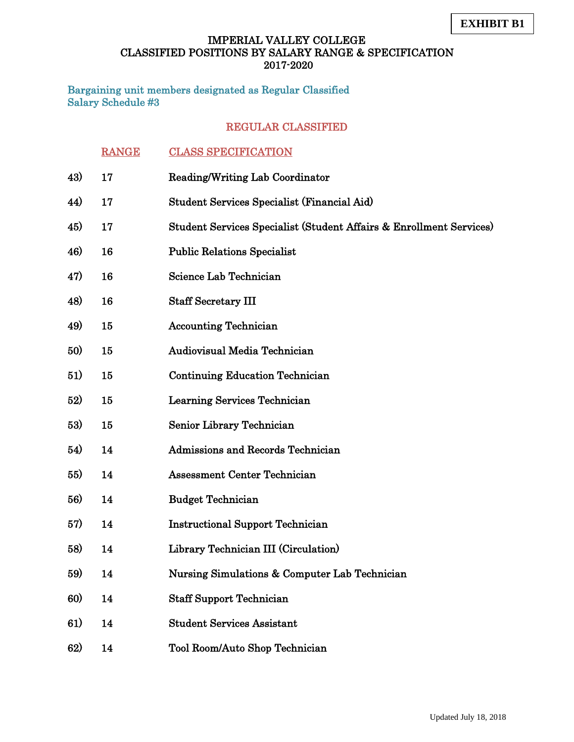Bargaining unit members designated as Regular Classified Salary Schedule #3

|     | <b>RANGE</b> | <b>CLASS SPECIFICATION</b>                                          |
|-----|--------------|---------------------------------------------------------------------|
| 43) | 17           | <b>Reading/Writing Lab Coordinator</b>                              |
| 44) | 17           | Student Services Specialist (Financial Aid)                         |
| 45) | 17           | Student Services Specialist (Student Affairs & Enrollment Services) |
| 46) | 16           | <b>Public Relations Specialist</b>                                  |
| 47) | 16           | <b>Science Lab Technician</b>                                       |
| 48) | 16           | <b>Staff Secretary III</b>                                          |
| 49) | 15           | <b>Accounting Technician</b>                                        |
| 50) | 15           | Audiovisual Media Technician                                        |
| 51) | 15           | <b>Continuing Education Technician</b>                              |
| 52) | 15           | Learning Services Technician                                        |
| 53) | 15           | Senior Library Technician                                           |
| 54) | 14           | <b>Admissions and Records Technician</b>                            |
| 55) | 14           | <b>Assessment Center Technician</b>                                 |
| 56) | 14           | <b>Budget Technician</b>                                            |
| 57) | 14           | <b>Instructional Support Technician</b>                             |
| 58) | 14           | Library Technician III (Circulation)                                |
| 59) | 14           | Nursing Simulations & Computer Lab Technician                       |
| 60) | 14           | <b>Staff Support Technician</b>                                     |
| 61) | 14           | <b>Student Services Assistant</b>                                   |
| 62) | 14           | Tool Room/Auto Shop Technician                                      |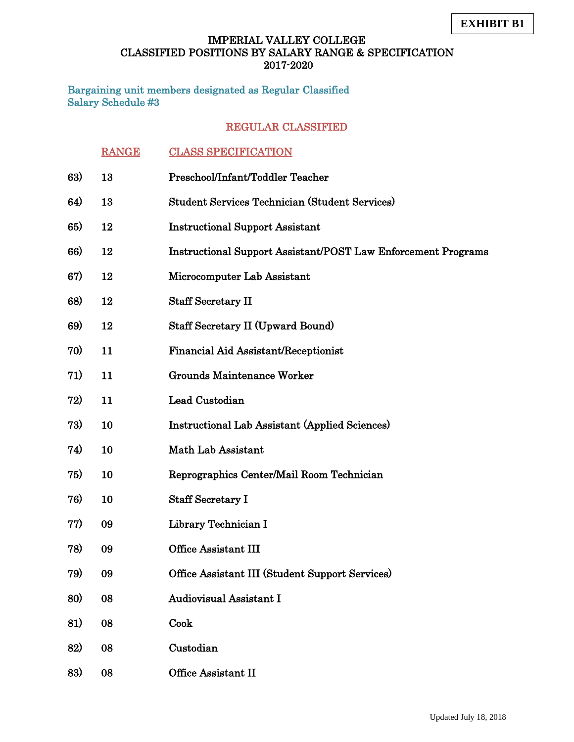Bargaining unit members designated as Regular Classified Salary Schedule #3

|     | <b>RANGE</b> | <b>CLASS SPECIFICATION</b>                                           |
|-----|--------------|----------------------------------------------------------------------|
| 63) | 13           | Preschool/Infant/Toddler Teacher                                     |
| 64) | 13           | <b>Student Services Technician (Student Services)</b>                |
| 65) | 12           | <b>Instructional Support Assistant</b>                               |
| 66) | 12           | <b>Instructional Support Assistant/POST Law Enforcement Programs</b> |
| 67) | 12           | Microcomputer Lab Assistant                                          |
| 68) | 12           | <b>Staff Secretary II</b>                                            |
| 69) | 12           | <b>Staff Secretary II (Upward Bound)</b>                             |
| 70) | 11           | Financial Aid Assistant/Receptionist                                 |
| 71) | 11           | <b>Grounds Maintenance Worker</b>                                    |
| 72) | 11           | Lead Custodian                                                       |
| 73) | 10           | <b>Instructional Lab Assistant (Applied Sciences)</b>                |
| 74) | 10           | Math Lab Assistant                                                   |
| 75) | 10           | Reprographics Center/Mail Room Technician                            |
| 76) | 10           | <b>Staff Secretary I</b>                                             |
| 77) | 09           | Library Technician I                                                 |
| 78) | 09           | <b>Office Assistant III</b>                                          |
| 79) | 09           | Office Assistant III (Student Support Services)                      |
| 80) | 08           | <b>Audiovisual Assistant I</b>                                       |
| 81) | 08           | Cook                                                                 |
| 82) | 08           | Custodian                                                            |
| 83) | 08           | Office Assistant II                                                  |
|     |              |                                                                      |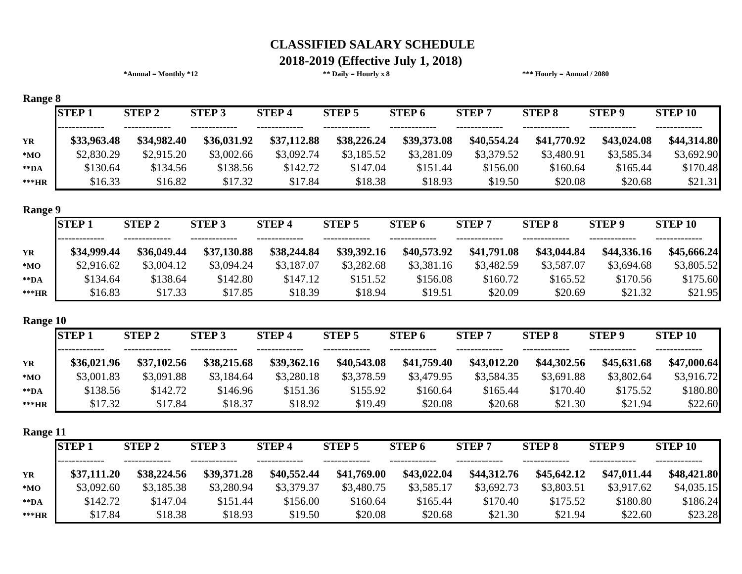#### **\*Annual = Monthly \*12 \*\* Daily = Hourly x 8 \*\*\* Hourly = Annual / 2080 2018-2019 (Effective July 1, 2018)**

|                | <b>STEP1</b> | <b>STEP 2</b> | <b>STEP 3</b> | <b>STEP4</b> | <b>STEP 5</b> | STEP <sub>6</sub> | <b>STEP7</b> | <b>STEP 8</b> | <b>STEP 9</b> | <b>STEP 10</b> |
|----------------|--------------|---------------|---------------|--------------|---------------|-------------------|--------------|---------------|---------------|----------------|
|                | \$33,963.48  | \$34,982.40   | \$36,031.92   | \$37,112.88  | \$38,226.24   | \$39,373.08       | \$40,554.24  | \$41,770.92   | \$43,024.08   | \$44,314.80    |
|                | \$2,830.29   | \$2,915.20    | \$3,002.66    | \$3,092.74   | \$3,185.52    | \$3,281.09        | \$3,379.52   | \$3,480.91    | \$3,585.34    | \$3,692.90     |
|                | \$130.64     | \$134.56      | \$138.56      | \$142.72     | \$147.04      | \$151.44          | \$156.00     | \$160.64      | \$165.44      | \$170.48       |
| ***HR          | \$16.33      | \$16.82       | \$17.32       | \$17.84      | \$18.38       | \$18.93           | \$19.50      | \$20.08       | \$20.68       | \$21.31        |
| <b>Range 9</b> |              |               |               |              |               |                   |              |               |               |                |
|                | <b>STEP1</b> | <b>STEP 2</b> | <b>STEP 3</b> | <b>STEP4</b> | <b>STEP 5</b> | <b>STEP 6</b>     | <b>STEP7</b> | <b>STEP 8</b> | <b>STEP 9</b> | <b>STEP 10</b> |
|                | \$34,999.44  | \$36,049.44   | \$37,130.88   | \$38,244.84  | \$39,392.16   | \$40,573.92       | \$41,791.08  | \$43,044.84   | \$44,336.16   | \$45,666.24    |
|                | \$2,916.62   | \$3,004.12    | \$3,094.24    | \$3,187.07   | \$3,282.68    | \$3,381.16        | \$3,482.59   | \$3,587.07    | \$3,694.68    | \$3,805.52     |
|                | \$134.64     | \$138.64      | \$142.80      | \$147.12     | \$151.52      | \$156.08          | \$160.72     | \$165.52      | \$170.56      | \$175.60       |
| ***HR          | \$16.83      | \$17.33       | \$17.85       | \$18.39      | \$18.94       | \$19.51           | \$20.09      | \$20.69       | \$21.32       | \$21.95        |
| Range 10       |              |               |               |              |               |                   |              |               |               |                |
|                | <b>STEP1</b> | <b>STEP 2</b> | <b>STEP 3</b> | <b>STEP4</b> | <b>STEP 5</b> | <b>STEP 6</b>     | <b>STEP7</b> | <b>STEP 8</b> | <b>STEP 9</b> | <b>STEP 10</b> |
|                | \$36,021.96  | \$37,102.56   | \$38,215.68   | \$39,362.16  | \$40,543.08   | \$41,759.40       | \$43,012.20  | \$44,302.56   | \$45,631.68   | \$47,000.64    |
|                | \$3,001.83   | \$3,091.88    | \$3,184.64    | \$3,280.18   | \$3,378.59    | \$3,479.95        | \$3,584.35   | \$3,691.88    | \$3,802.64    | \$3,916.72     |
|                | \$138.56     | \$142.72      | \$146.96      | \$151.36     | \$155.92      | \$160.64          | \$165.44     | \$170.40      | \$175.52      | \$180.80       |
| ***HR          | \$17.32      | \$17.84       | \$18.37       | \$18.92      | \$19.49       | \$20.08           | \$20.68      | \$21.30       | \$21.94       | \$22.60        |
| Range 11       |              |               |               |              |               |                   |              |               |               |                |
|                | <b>STEP1</b> | <b>STEP 2</b> | <b>STEP 3</b> | <b>STEP4</b> | <b>STEP 5</b> | <b>STEP 6</b>     | <b>STEP7</b> | <b>STEP 8</b> | <b>STEP 9</b> | <b>STEP 10</b> |
|                | \$37,111.20  | \$38,224.56   | \$39,371.28   | \$40,552.44  | \$41,769.00   | \$43,022.04       | \$44,312.76  | \$45,642.12   | \$47,011.44   | \$48,421.80    |
|                | \$3,092.60   | \$3,185.38    | \$3,280.94    | \$3,379.37   | \$3,480.75    | \$3,585.17        | \$3,692.73   | \$3,803.51    | \$3,917.62    | \$4,035.15     |
|                | \$142.72     | \$147.04      | \$151.44      | \$156.00     | \$160.64      | \$165.44          | \$170.40     | \$175.52      | \$180.80      | \$186.24       |

**\*\*\*HR** \$17.84 \$18.38 \$18.93 \$19.50 \$20.08 \$20.68 \$21.30 \$21.94 \$22.60 \$23.28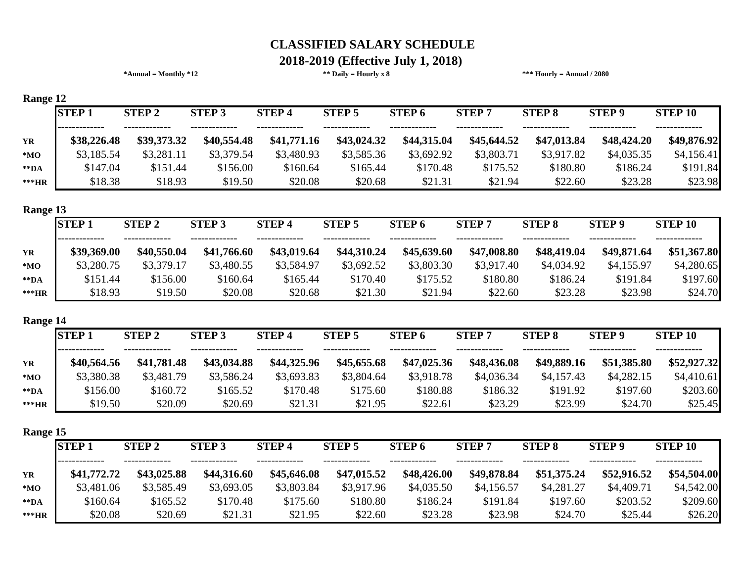# **2018-2019 (Effective July 1, 2018)**

|                         |              | $*Annual = Monthly *12$ |               |              | ** Daily = Hourly x $8$ |                   |              | *** Hourly = Annual $/ 2080$ |               |                |
|-------------------------|--------------|-------------------------|---------------|--------------|-------------------------|-------------------|--------------|------------------------------|---------------|----------------|
| Range 12                |              |                         |               |              |                         |                   |              |                              |               |                |
|                         | <b>STEP1</b> | <b>STEP 2</b>           | <b>STEP 3</b> | <b>STEP4</b> | <b>STEP 5</b>           | <b>STEP 6</b>     | <b>STEP7</b> | <b>STEP 8</b>                | <b>STEP 9</b> | <b>STEP 10</b> |
| YR                      | \$38,226.48  | \$39,373.32             | \$40,554.48   | \$41,771.16  | \$43,024.32             | \$44,315.04       | \$45,644.52  | \$47,013.84                  | \$48,424.20   | \$49,876.92    |
| $*MO$                   | \$3,185.54   | \$3,281.11              | \$3,379.54    | \$3,480.93   | \$3,585.36              | \$3,692.92        | \$3,803.71   | \$3,917.82                   | \$4,035.35    | \$4,156.41     |
| $\rm ^{\ast\ast}DA$     | \$147.04     | \$151.44                | \$156.00      | \$160.64     | \$165.44                | \$170.48          | \$175.52     | \$180.80                     | \$186.24      | \$191.84       |
| ***HR                   | \$18.38      | \$18.93                 | \$19.50       | \$20.08      | \$20.68                 | \$21.31           | \$21.94      | \$22.60                      | \$23.28       | \$23.98        |
| Range 13                |              |                         |               |              |                         |                   |              |                              |               |                |
|                         | <b>STEP1</b> | <b>STEP 2</b>           | <b>STEP 3</b> | <b>STEP4</b> | <b>STEP 5</b>           | STEP <sub>6</sub> | <b>STEP7</b> | <b>STEP 8</b>                | <b>STEP 9</b> | <b>STEP 10</b> |
| YR                      | \$39,369.00  | \$40,550.04             | \$41,766.60   | \$43,019.64  | \$44,310.24             | \$45,639.60       | \$47,008.80  | \$48,419.04                  | \$49,871.64   | \$51,367.80    |
| $*MO$                   | \$3,280.75   | \$3,379.17              | \$3,480.55    | \$3,584.97   | \$3,692.52              | \$3,803.30        | \$3,917.40   | \$4,034.92                   | \$4,155.97    | \$4,280.65     |
| $*$ $\mathbf{DA}$       | \$151.44     | \$156.00                | \$160.64      | \$165.44     | \$170.40                | \$175.52          | \$180.80     | \$186.24                     | \$191.84      | \$197.60       |
| ***HR                   | \$18.93      | \$19.50                 | \$20.08       | \$20.68      | \$21.30                 | \$21.94           | \$22.60      | \$23.28                      | \$23.98       | \$24.70        |
| Range 14                |              |                         |               |              |                         |                   |              |                              |               |                |
|                         | <b>STEP1</b> | <b>STEP 2</b>           | <b>STEP 3</b> | <b>STEP4</b> | <b>STEP 5</b>           | STEP <sub>6</sub> | <b>STEP7</b> | <b>STEP 8</b>                | <b>STEP 9</b> | <b>STEP 10</b> |
| YR                      | \$40,564.56  | \$41,781.48             | \$43,034.88   | \$44,325.96  | \$45,655.68             | \$47,025.36       | \$48,436.08  | \$49,889.16                  | \$51,385.80   | \$52,927.32    |
| ${}^{\ast} \mathbf{MO}$ | \$3,380.38   | \$3,481.79              | \$3,586.24    | \$3,693.83   | \$3,804.64              | \$3,918.78        | \$4,036.34   | \$4,157.43                   | \$4,282.15    | \$4,410.61     |
| $\rm ^{\ast\ast}DA$     | \$156.00     | \$160.72                | \$165.52      | \$170.48     | \$175.60                | \$180.88          | \$186.32     | \$191.92                     | \$197.60      | \$203.60       |
| ***HR                   | \$19.50      | \$20.09                 | \$20.69       | \$21.31      | \$21.95                 | \$22.61           | \$23.29      | \$23.99                      | \$24.70       | \$25.45        |
| Range 15                |              |                         |               |              |                         |                   |              |                              |               |                |
|                         | <b>STEP1</b> | <b>STEP 2</b>           | <b>STEP 3</b> | <b>STEP4</b> | <b>STEP 5</b>           | STEP 6            | <b>STEP7</b> | <b>STEP 8</b>                | STEP 9        | <b>STEP 10</b> |
|                         | \$41,772.72  | \$43,025.88             | \$44,316.60   | \$45,646.08  | \$47,015.52             | \$48,426.00       | \$49,878.84  | \$51,375.24                  | \$52,916.52   | \$54,504.00    |
| $*MO$                   | \$3,481.06   | \$3,585.49              | \$3,693.05    | \$3,803.84   | \$3,917.96              | \$4,035.50        | \$4,156.57   | \$4,281.27                   | \$4,409.71    | \$4,542.00     |
| $*$ $\mathbf{DA}$       | \$160.64     | \$165.52                | \$170.48      | \$175.60     | \$180.80                | \$186.24          | \$191.84     | \$197.60                     | \$203.52      | \$209.60       |
| ***HR                   | \$20.08      | \$20.69                 | \$21.31       | \$21.95      | \$22.60                 | \$23.28           | \$23.98      | \$24.70                      | \$25.44       | \$26.20        |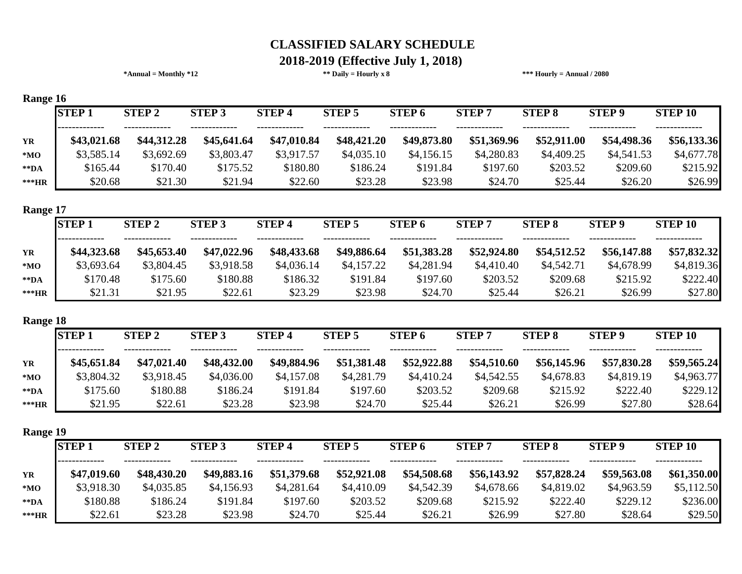#### **\*Annual = Monthly \*12 \*\* Daily = Hourly x 8 \*\*\* Hourly = Annual / 2080 2018-2019 (Effective July 1, 2018)**

| Range 16          |              |              |               |              |               |                   |              |               |               |                |
|-------------------|--------------|--------------|---------------|--------------|---------------|-------------------|--------------|---------------|---------------|----------------|
|                   | <b>STEP1</b> | <b>STEP2</b> | <b>STEP 3</b> | <b>STEP4</b> | <b>STEP 5</b> | <b>STEP 6</b>     | <b>STEP7</b> | <b>STEP 8</b> | <b>STEP 9</b> | <b>STEP 10</b> |
| <b>YR</b>         | \$43,021.68  | \$44,312.28  | \$45,641.64   | \$47,010.84  | \$48,421.20   | \$49,873.80       | \$51,369.96  | \$52,911.00   | \$54,498.36   | \$56,133.36    |
| $*MO$             | \$3,585.14   | \$3,692.69   | \$3,803.47    | \$3,917.57   | \$4,035.10    | \$4,156.15        | \$4,280.83   | \$4,409.25    | \$4,541.53    | \$4,677.78     |
| $*$ $\mathbf{DA}$ | \$165.44     | \$170.40     | \$175.52      | \$180.80     | \$186.24      | \$191.84          | \$197.60     | \$203.52      | \$209.60      | \$215.92       |
| ***HR             | \$20.68      | \$21.30      | \$21.94       | \$22.60      | \$23.28       | \$23.98           | \$24.70      | \$25.44       | \$26.20       | \$26.99        |
| Range 17          | <b>STEP1</b> | <b>STEP2</b> | <b>STEP 3</b> | <b>STEP4</b> | <b>STEP 5</b> | STEP <sub>6</sub> | <b>STEP7</b> | <b>STEP 8</b> | <b>STEP 9</b> | <b>STEP 10</b> |
| <b>YR</b>         | \$44,323.68  | \$45,653.40  | \$47,022.96   | \$48,433.68  | \$49,886.64   | \$51,383.28       | \$52,924.80  | \$54,512.52   | \$56,147.88   | \$57,832.32    |
| $*MO$             | \$3,693.64   | \$3,804.45   | \$3,918.58    | \$4,036.14   | \$4,157.22    | \$4,281.94        | \$4,410.40   | \$4,542.71    | \$4,678.99    | \$4,819.36     |
| $*$ $\mathbf{DA}$ | \$170.48     | \$175.60     | \$180.88      | \$186.32     | \$191.84      | \$197.60          | \$203.52     | \$209.68      | \$215.92      | \$222.40       |
| ***HR             | \$21.31      | \$21.95      | \$22.61       | \$23.29      | \$23.98       | \$24.70           | \$25.44      | \$26.21       | \$26.99       | \$27.80        |
| Range 18          | <b>STEP1</b> | <b>STEP2</b> | <b>STEP 3</b> | <b>STEP4</b> | <b>STEP 5</b> | <b>STEP 6</b>     | <b>STEP7</b> | <b>STEP 8</b> | <b>STEP 9</b> | <b>STEP 10</b> |
| <b>YR</b>         | \$45,651.84  | \$47,021.40  | \$48,432.00   | \$49,884.96  | \$51,381.48   | \$52,922.88       | \$54,510.60  | \$56,145.96   | \$57,830.28   | \$59,565.24    |

**\*MO** \$3,804.32 \$3,918.45 \$4,036.00 \$4,157.08 \$4,281.79 \$4,410.24 \$4,542.55 \$4,678.83 \$4,819.19 \$4,963.77 **\*\*DA** \$175.60 \$180.88 \$186.24 \$191.84 \$197.60 \$203.52 \$209.68 \$215.92 \$222.40 \$229.12 **\*\*\*HR** \$21.95 \$22.61 \$23.28 \$23.98 \$24.70 \$25.44 \$26.21 \$26.99 \$27.80 \$28.64

**Range 19**

| <b>RANCY 17</b>   |              |               |               |              |               |               |              |               |               |                |
|-------------------|--------------|---------------|---------------|--------------|---------------|---------------|--------------|---------------|---------------|----------------|
|                   | <b>STEP1</b> | <b>STEP 2</b> | <b>STEP 3</b> | <b>STEP4</b> | <b>STEP 5</b> | <b>STEP 6</b> | <b>STEP7</b> | <b>STEP 8</b> | <b>STEP 9</b> | <b>STEP 10</b> |
|                   |              |               |               | -------      |               |               |              |               |               |                |
| <b>YR</b>         | \$47,019.60  | \$48,430.20   | \$49,883.16   | \$51,379.68  | \$52,921.08   | \$54,508.68   | \$56,143.92  | \$57,828.24   | \$59,563.08   | \$61,350.00    |
| $*MO$             | \$3,918.30   | \$4,035.85    | \$4,156.93    | \$4,281.64   | \$4,410.09    | \$4,542.39    | \$4,678.66   | \$4,819.02    | \$4,963.59    | \$5,112.50     |
| $*$ $\mathbf{DA}$ | \$180.88     | \$186.24      | \$191.84      | \$197.60     | \$203.52      | \$209.68      | \$215.92     | \$222.40      | \$229.12      | \$236.00       |
| ***HR             | \$22.61      | \$23.28       | \$23.98       | \$24.70      | \$25.44       | \$26.21       | \$26.99      | \$27.80       | \$28.64       | \$29.50        |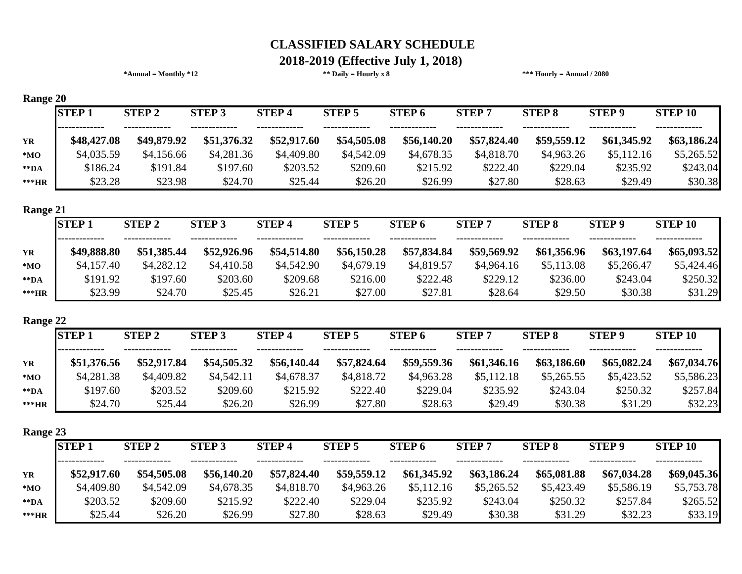# **2018-2019 (Effective July 1, 2018)**

| <b>STEP 2</b><br><b>STEP 3</b><br>\$49,879.92<br>\$4,156.66<br>\$191.84<br>\$23.98<br><b>STEP 2</b><br><b>STEP 3</b> | <b>STEP4</b><br>\$51,376.32<br>\$4,281.36<br>\$197.60<br>\$24.70<br><b>STEP4</b> | \$52,917.60<br>\$4,409.80<br>\$203.52<br>\$25.44 | <b>STEP 5</b><br>\$54,505.08<br>\$4,542.09<br>\$209.60<br>\$26.20<br><b>STEP 5</b> | <b>STEP 6</b><br>\$56,140.20<br>\$4,678.35<br>\$215.92<br>\$26.99<br><b>STEP 6</b> | <b>STEP 7</b><br>\$57,824.40<br>\$4,818.70<br>\$222.40<br>\$27.80<br><b>STEP 7</b> | <b>STEP 8</b><br>\$59,559.12<br>\$4,963.26<br>\$229.04<br>\$28.63 | <b>STEP 9</b><br>\$61,345.92<br>\$5,112.16<br>\$235.92<br>\$29.49 | <b>STEP 10</b><br>\$63,186.24<br>\$5,265.52<br>\$243.04<br>\$30.38 |
|----------------------------------------------------------------------------------------------------------------------|----------------------------------------------------------------------------------|--------------------------------------------------|------------------------------------------------------------------------------------|------------------------------------------------------------------------------------|------------------------------------------------------------------------------------|-------------------------------------------------------------------|-------------------------------------------------------------------|--------------------------------------------------------------------|
|                                                                                                                      |                                                                                  |                                                  |                                                                                    |                                                                                    |                                                                                    |                                                                   |                                                                   |                                                                    |
|                                                                                                                      |                                                                                  |                                                  |                                                                                    |                                                                                    |                                                                                    |                                                                   |                                                                   |                                                                    |
|                                                                                                                      |                                                                                  |                                                  |                                                                                    |                                                                                    |                                                                                    |                                                                   |                                                                   |                                                                    |
|                                                                                                                      |                                                                                  |                                                  |                                                                                    |                                                                                    |                                                                                    |                                                                   |                                                                   |                                                                    |
|                                                                                                                      |                                                                                  |                                                  |                                                                                    |                                                                                    |                                                                                    |                                                                   |                                                                   |                                                                    |
|                                                                                                                      |                                                                                  |                                                  |                                                                                    |                                                                                    |                                                                                    |                                                                   |                                                                   |                                                                    |
|                                                                                                                      |                                                                                  |                                                  |                                                                                    |                                                                                    |                                                                                    |                                                                   |                                                                   |                                                                    |
|                                                                                                                      |                                                                                  |                                                  |                                                                                    |                                                                                    |                                                                                    | <b>STEP 8</b>                                                     | <b>STEP 9</b>                                                     | <b>STEP 10</b>                                                     |
| \$51,385.44                                                                                                          | \$52,926.96                                                                      | \$54,514.80                                      | \$56,150.28                                                                        | \$57,834.84                                                                        | \$59,569.92                                                                        | \$61,356.96                                                       | \$63,197.64                                                       | \$65,093.52                                                        |
| \$4,282.12                                                                                                           | \$4,410.58                                                                       | \$4,542.90                                       | \$4,679.19                                                                         | \$4,819.57                                                                         | \$4,964.16                                                                         | \$5,113.08                                                        | \$5,266.47                                                        | \$5,424.46                                                         |
| \$197.60                                                                                                             | \$203.60                                                                         | \$209.68                                         | \$216.00                                                                           | \$222.48                                                                           | \$229.12                                                                           | \$236.00                                                          | \$243.04                                                          | \$250.32                                                           |
| \$24.70                                                                                                              | \$25.45                                                                          | \$26.21                                          | \$27.00                                                                            | \$27.81                                                                            | \$28.64                                                                            | \$29.50                                                           | \$30.38                                                           | \$31.29                                                            |
|                                                                                                                      |                                                                                  |                                                  |                                                                                    |                                                                                    |                                                                                    |                                                                   |                                                                   |                                                                    |
| <b>STEP 3</b>                                                                                                        | <b>STEP4</b>                                                                     |                                                  | <b>STEP 5</b>                                                                      | STEP <sub>6</sub>                                                                  | <b>STEP 7</b>                                                                      | <b>STEP 8</b>                                                     | <b>STEP 9</b>                                                     | <b>STEP 10</b>                                                     |
|                                                                                                                      |                                                                                  |                                                  |                                                                                    | \$59,559.36                                                                        | \$61,346.16                                                                        |                                                                   |                                                                   | \$67,034.76                                                        |
|                                                                                                                      |                                                                                  |                                                  | \$4,818.72                                                                         | \$4,963.28                                                                         | \$5,112.18                                                                         | \$5,265.55                                                        |                                                                   | \$5,586.23                                                         |
|                                                                                                                      |                                                                                  |                                                  | \$222.40                                                                           | \$229.04                                                                           | \$235.92                                                                           | \$243.04                                                          | \$250.32                                                          | \$257.84                                                           |
|                                                                                                                      | \$26.20                                                                          | \$26.99                                          | \$27.80                                                                            | \$28.63                                                                            | \$29.49                                                                            | \$30.38                                                           | \$31.29                                                           | \$32.23                                                            |
|                                                                                                                      | \$52,917.84<br>\$4,409.82<br>\$203.52<br>\$25.44                                 | \$54,505.32<br>\$4,542.11<br>\$209.60            | \$56,140.44<br>\$4,678.37<br>\$215.92                                              | \$57,824.64                                                                        |                                                                                    |                                                                   |                                                                   | \$63,186.60<br>\$65,082.24<br>\$5,423.52                           |

| o                 |              |              |               |              |               |                   |              |               |               |                |
|-------------------|--------------|--------------|---------------|--------------|---------------|-------------------|--------------|---------------|---------------|----------------|
|                   | <b>STEP1</b> | <b>STEP2</b> | <b>STEP 3</b> | <b>STEP4</b> | <b>STEP 5</b> | STEP <sub>6</sub> | <b>STEP7</b> | <b>STEP 8</b> | <b>STEP 9</b> | <b>STEP 10</b> |
| <b>YR</b>         | \$52,917.60  | \$54,505.08  | \$56,140.20   | \$57,824.40  | \$59,559.12   | \$61,345.92       | \$63,186.24  | \$65,081.88   | \$67,034.28   | \$69,045.36    |
|                   |              |              |               |              |               |                   |              |               |               |                |
| $*MO$             | \$4,409.80   | \$4,542.09   | \$4,678.35    | \$4,818.70   | \$4,963.26    | \$5,112.16        | \$5,265.52   | \$5,423.49    | \$5,586.19    | \$5,753.78     |
| $*$ $\mathbf{DA}$ | \$203.52     | \$209.60     | \$215.92      | \$222.40     | \$229.04      | \$235.92          | \$243.04     | \$250.32      | \$257.84      | \$265.52       |
| ***HR             | \$25.44      | \$26.20      | \$26.99       | \$27.80      | \$28.63       | \$29.49           | \$30.38      | \$31.29       | \$32.23       | \$33.19        |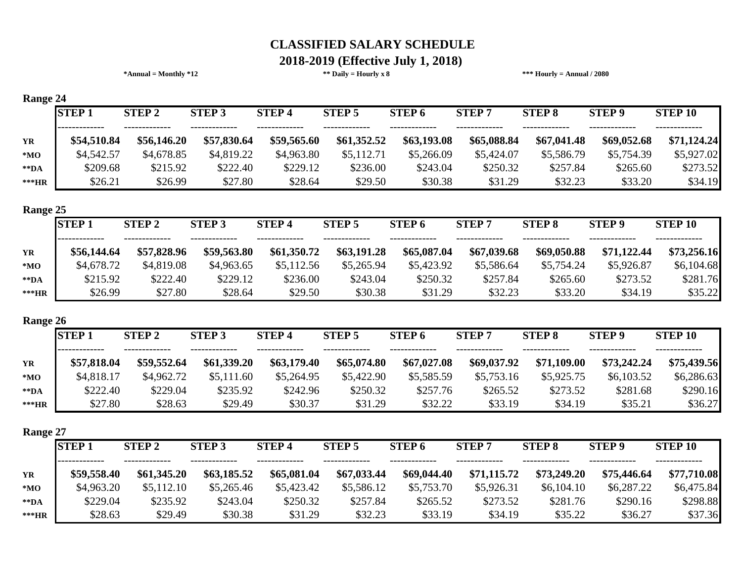# **2018-2019 (Effective July 1, 2018)**

|                          | $*Annual = Monthly *12$    |               |              | ** Daily = Hourly $x 8$ |                   |               | *** Hourly = Annual $/ 2080$ |               |                |
|--------------------------|----------------------------|---------------|--------------|-------------------------|-------------------|---------------|------------------------------|---------------|----------------|
| Range 24<br><b>STEP1</b> | <b>STEP 2</b>              | <b>STEP 3</b> | <b>STEP4</b> | <b>STEP 5</b>           | <b>STEP 6</b>     | <b>STEP 7</b> | <b>STEP 8</b>                | <b>STEP 9</b> | <b>STEP 10</b> |
|                          |                            |               |              |                         |                   |               |                              |               |                |
| \$54,510.84              | \$56,146.20                | \$57,830.64   | \$59,565.60  | \$61,352.52             | \$63,193.08       | \$65,088.84   | \$67,041.48                  | \$69,052.68   | \$71,124.24    |
| \$4,542.57               | \$4,678.85                 | \$4,819.22    | \$4,963.80   | \$5,112.71              | \$5,266.09        | \$5,424.07    | \$5,586.79                   | \$5,754.39    | \$5,927.02     |
| \$209.68                 | \$215.92                   | \$222.40      | \$229.12     | \$236.00                | \$243.04          | \$250.32      | \$257.84                     | \$265.60      | \$273.52       |
| \$26.21                  | \$26.99                    | \$27.80       | \$28.64      | \$29.50                 | \$30.38           | \$31.29       | \$32.23                      | \$33.20       | \$34.19        |
| Range 25                 |                            |               |              |                         |                   |               |                              |               |                |
| <b>STEP1</b>             | <b>STEP 2</b>              | <b>STEP 3</b> | <b>STEP4</b> | <b>STEP 5</b>           | <b>STEP6</b>      | <b>STEP7</b>  | <b>STEP 8</b>                | <b>STEP 9</b> | <b>STEP 10</b> |
| \$56,144.64              | \$57,828.96                | \$59,563.80   | \$61,350.72  | \$63,191.28             | \$65,087.04       | \$67,039.68   | \$69,050.88                  | \$71,122.44   | \$73,256.16    |
| \$4,678.72               | \$4,819.08                 | \$4,963.65    | \$5,112.56   | \$5,265.94              | \$5,423.92        | \$5,586.64    | \$5,754.24                   | \$5,926.87    | \$6,104.68     |
| \$215.92                 | \$222.40                   | \$229.12      | \$236.00     | \$243.04                | \$250.32          | \$257.84      | \$265.60                     | \$273.52      | \$281.76       |
| \$26.99                  | \$27.80                    | \$28.64       | \$29.50      | \$30.38                 | \$31.29           | \$32.23       | \$33.20                      | \$34.19       | \$35.22        |
| Range 26                 |                            |               |              |                         |                   |               |                              |               |                |
| <b>STEP1</b>             | <b>STEP 2</b>              | <b>STEP 3</b> | <b>STEP4</b> | <b>STEP 5</b>           | STEP <sub>6</sub> | <b>STEP7</b>  | <b>STEP 8</b>                | <b>STEP 9</b> | <b>STEP 10</b> |
| \$57,818.04              | \$59,552.64                | \$61,339.20   | \$63,179.40  | \$65,074.80             | \$67,027.08       | \$69,037.92   | \$71,109.00                  | \$73,242.24   | \$75,439.56    |
| \$4,818.17               | \$4,962.72                 | \$5,111.60    | \$5,264.95   | \$5,422.90              | \$5,585.59        | \$5,753.16    | \$5,925.75                   | \$6,103.52    | \$6,286.63     |
| \$222.40                 | \$229.04                   | \$235.92      | \$242.96     | \$250.32                | \$257.76          | \$265.52      | \$273.52                     | \$281.68      | \$290.16       |
| \$27.80                  | \$28.63                    | \$29.49       | \$30.37      | \$31.29                 | \$32.22           | \$33.19       | \$34.19                      | \$35.21       | \$36.27        |
| Range 27                 |                            |               |              |                         |                   |               |                              |               |                |
| <b>STEP1</b>             | $\overline{\text{STEP}}$ 2 | <b>STEP 3</b> | <b>STEP4</b> | <b>STEP 5</b>           | <b>STEP 6</b>     | <b>STEP7</b>  | <b>STEP 8</b>                | <b>STEP 9</b> | <b>STEP 10</b> |
| \$59,558.40              | \$61,345.20                | \$63,185.52   | \$65,081.04  | \$67,033.44             | \$69,044.40       | \$71,115.72   | \$73,249.20                  | \$75,446.64   | \$77,710.08    |
| \$4,963.20               | \$5,112.10                 | \$5,265.46    | \$5,423.42   | \$5,586.12              | \$5,753.70        | \$5,926.31    | \$6,104.10                   | \$6,287.22    | \$6,475.84     |
| \$229.04                 | \$235.92                   | \$243.04      | \$250.32     | \$257.84                | \$265.52          | \$273.52      | \$281.76                     | \$290.16      | \$298.88       |
| \$28.63                  | \$29.49                    | \$30.38       | \$31.29      | \$32.23                 | \$33.19           | \$34.19       | \$35.22                      | \$36.27       | \$37.36        |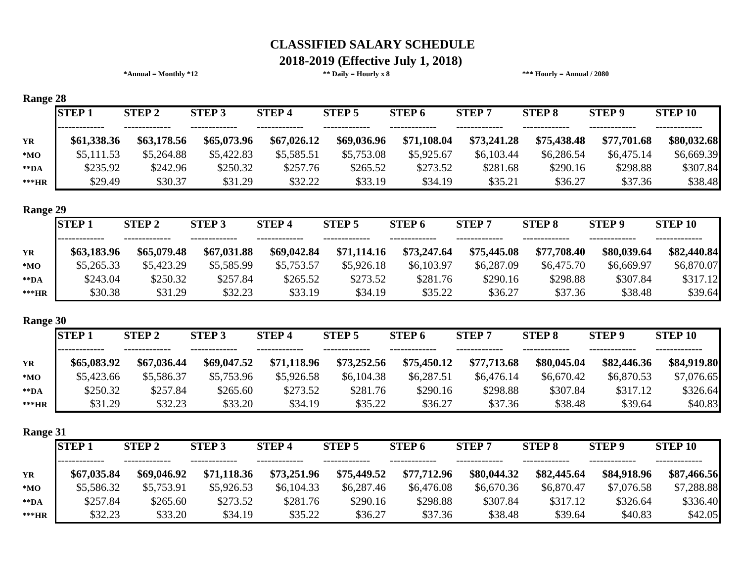#### **\*Annual = Monthly \*12 \*\* Daily = Hourly x 8 \*\*\* Hourly = Annual / 2080 2018-2019 (Effective July 1, 2018)**

| Range 28          |              |               |               |              |               |                   |              |               |               |                |
|-------------------|--------------|---------------|---------------|--------------|---------------|-------------------|--------------|---------------|---------------|----------------|
|                   | <b>STEP1</b> | <b>STEP 2</b> | <b>STEP 3</b> | <b>STEP4</b> | <b>STEP 5</b> | STEP <sub>6</sub> | <b>STEP7</b> | <b>STEP 8</b> | <b>STEP 9</b> | <b>STEP 10</b> |
| <b>YR</b>         | \$61,338.36  | \$63,178.56   | \$65,073.96   | \$67,026.12  | \$69,036.96   | \$71,108.04       | \$73,241.28  | \$75,438.48   | \$77,701.68   | \$80,032.68    |
| *MO               | \$5,111.53   | \$5,264.88    | \$5,422.83    | \$5,585.51   | \$5,753.08    | \$5,925.67        | \$6,103.44   | \$6,286.54    | \$6,475.14    | \$6,669.39     |
| $*$ $\mathbf{DA}$ | \$235.92     | \$242.96      | \$250.32      | \$257.76     | \$265.52      | \$273.52          | \$281.68     | \$290.16      | \$298.88      | \$307.84       |
| $***HR$           | \$29.49      | \$30.37       | \$31.29       | \$32.22      | \$33.19       | \$34.19           | \$35.21      | \$36.27       | \$37.36       | \$38.48        |
| Range 29          |              |               |               |              |               |                   |              |               |               |                |
|                   | <b>STEP1</b> | <b>STEP 2</b> | <b>STEP 3</b> | <b>STEP4</b> | <b>STEP 5</b> | STEP <sub>6</sub> | <b>STEP7</b> | <b>STEP 8</b> | <b>STEP 9</b> | <b>STEP 10</b> |
| <b>YR</b>         | \$63,183.96  | \$65,079.48   | \$67,031.88   | \$69,042.84  | \$71,114.16   | \$73,247.64       | \$75,445.08  | \$77,708.40   | \$80,039.64   | \$82,440.84    |
| $*_{\mathbf{MO}}$ | \$5,265.33   | \$5,423.29    | \$5,585.99    | \$5,753.57   | \$5,926.18    | \$6,103.97        | \$6,287.09   | \$6,475.70    | \$6,669.97    | \$6,870.07     |

#### **Range**

|                   | <b>STEP1</b> | <b>STEP 2</b> | <b>STEP 3</b> | <b>STEP4</b>              | <b>STEP 5</b> | <b>STEP 6</b> | <b>STEP7</b> | <b>STEP 8</b> | <b>STEP 9</b> | <b>STEP 10</b> |
|-------------------|--------------|---------------|---------------|---------------------------|---------------|---------------|--------------|---------------|---------------|----------------|
| <b>YR</b>         | \$63,183.96  | \$65,079.48   | \$67,031.88   | ----------<br>\$69,042.84 | \$71,114.16   | \$73,247.64   | \$75,445.08  | \$77,708.40   | \$80,039.64   | \$82,440.84    |
| $*MO$             | \$5,265.33   | \$5,423.29    | \$5,585.99    | \$5,753.57                | \$5,926.18    | \$6,103.97    | \$6,287.09   | \$6,475.70    | \$6,669.97    | \$6,870.07     |
| $*$ $\mathbf{DA}$ | \$243.04     | \$250.32      | \$257.84      | \$265.52                  | \$273.52      | \$281.76      | \$290.16     | \$298.88      | \$307.84      | \$317.12       |
| $***HR$           | \$30.38      | \$31.29       | \$32.23       | \$33.19                   | \$34.19       | \$35.22       | \$36.27      | \$37.36       | \$38.48       | \$39.64        |

#### **Range 30**

| $\mathbf{m}$      |              |               |               |              |               |                   |              |               |               |                |  |  |
|-------------------|--------------|---------------|---------------|--------------|---------------|-------------------|--------------|---------------|---------------|----------------|--|--|
|                   | <b>STEP1</b> | <b>STEP 2</b> | <b>STEP 3</b> | <b>STEP4</b> | <b>STEP 5</b> | STEP <sub>6</sub> | <b>STEP7</b> | <b>STEP 8</b> | <b>STEP 9</b> | <b>STEP 10</b> |  |  |
|                   |              |               |               |              |               |                   | -------      |               |               |                |  |  |
| <b>YR</b>         | \$65,083.92  | \$67,036.44   | \$69,047.52   | \$71,118.96  | \$73,252.56   | \$75,450.12       | \$77,713.68  | \$80,045.04   | \$82,446.36   | \$84,919.80    |  |  |
| $*MO$             | \$5,423.66   | \$5,586.37    | \$5,753.96    | \$5,926.58   | \$6,104.38    | \$6,287.51        | \$6,476.14   | \$6,670.42    | \$6,870.53    | \$7,076.65     |  |  |
| $*$ $\mathbf{DA}$ | \$250.32     | \$257.84      | \$265.60      | \$273.52     | \$281.76      | \$290.16          | \$298.88     | \$307.84      | \$317.12      | \$326.64       |  |  |
| $***HR$           | \$31.29      | \$32.23       | \$33.20       | \$34.19      | \$35.22       | \$36.27           | \$37.36      | \$38.48       | \$39.64       | \$40.83        |  |  |

**Range 31**

| $\sim$            |              |               |               |                              |                        |               |              |               |                              |                |
|-------------------|--------------|---------------|---------------|------------------------------|------------------------|---------------|--------------|---------------|------------------------------|----------------|
|                   | <b>STEP1</b> | <b>STEP 2</b> | <b>STEP 3</b> | <b>STEP4</b>                 | <b>STEP 5</b>          | <b>STEP 6</b> | <b>STEP7</b> | <b>STEP 8</b> | <b>STEP 9</b>                | <b>STEP 10</b> |
| YR                | \$67,035.84  | \$69,046.92   | \$71,118.36   | -------------<br>\$73,251.96 | -------<br>\$75,449.52 | \$77,712.96   | \$80,044.32  | \$82,445.64   | -------------<br>\$84,918.96 | \$87,466.56    |
| $*MO$             | \$5,586.32   | \$5,753.91    | \$5,926.53    | \$6,104.33                   | \$6,287.46             | \$6,476.08    | \$6,670.36   | \$6,870.47    | \$7,076.58                   | \$7,288.88     |
| $*$ $\mathbf{DA}$ | \$257.84     | \$265.60      | \$273.52      | \$281.76                     | \$290.16               | \$298.88      | \$307.84     | \$317.12      | \$326.64                     | \$336.40       |
| ***HR             | \$32.23      | \$33.20       | \$34.19       | \$35.22                      | \$36.27                | \$37.36       | \$38.48      | \$39.64       | \$40.83                      | \$42.05        |